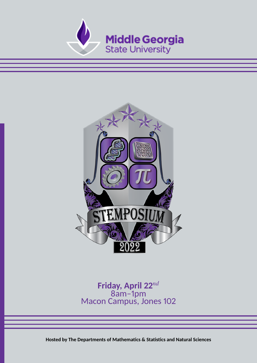



## **Friday, April 22***nd* 8am–1pm Macon Campus, Jones 102

**Hosted by The Departments of Mathematics & Statistics and Natural Sciences**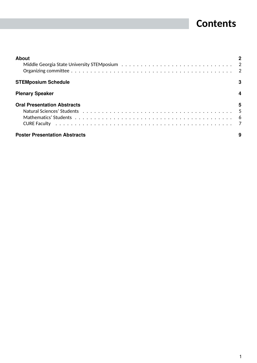## **Contents**

| <b>About</b>                         |   |
|--------------------------------------|---|
| <b>STEMposium Schedule</b>           | 3 |
| <b>Plenary Speaker</b>               |   |
| <b>Oral Presentation Abstracts</b>   | 5 |
| <b>Poster Presentation Abstracts</b> |   |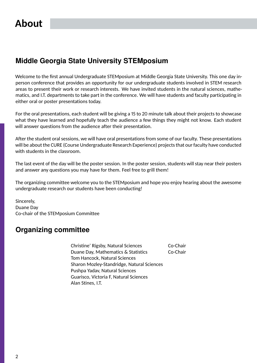## <span id="page-2-0"></span>**About**

## <span id="page-2-1"></span>**Middle Georgia State University STEMposium**

Welcome to the first annual Undergraduate STEMposium at Middle Georgia State University. This one day inperson conference that provides an opportunity for our undergraduate students involved in STEM research areas to present their work or research interests. We have invited students in the natural sciences, mathematics, and I.T. departments to take part in the conference. We will have students and faculty participating in either oral or poster presentations today.

For the oral presentations, each student will be giving a 15 to 20 minute talk about their projects to showcase what they have learned and hopefully teach the audience a few things they might not know. Each student will answer questions from the audience after their presentation.

After the student oral sessions, we will have oral presentations from some of our faculty. These presentations will be about the CURE (Course Undergraduate Research Experience) projects that our faculty have conducted with students in the classroom.

The last event of the day will be the poster session. In the poster session, students will stay near their posters and answer any questions you may have for them. Feel free to grill them!

The organizing committee welcome you to the STEMposium and hope you enjoy hearing about the awesome undergraduate research our students have been conducting!

Sincerely, Duane Day Co-chair of the STEMposium Committee

## <span id="page-2-2"></span>**Organizing committee**

Christine' Rigsby, Natural Sciences Co-Chair Duane Day, Mathematics & Statistics Co-Chair Tom Hancock, Natural Sciences Sharon Mozley-Standridge, Natural Sciences Pushpa Yadav, Natural Sciences Guarisco, Victoria F, Natural Sciences Alan Stines, I.T.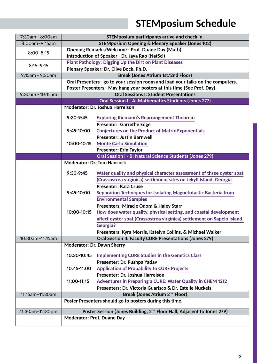# **STEMposium Schedule**

<span id="page-3-0"></span>

| 7:30am - 8:00am  | STEMposium participants arrive and check in.                                    |                                                                                               |  |
|------------------|---------------------------------------------------------------------------------|-----------------------------------------------------------------------------------------------|--|
| 8:00am-9:15am    | <b>STEMposium Opening &amp; Plenary Speaker (Jones 102)</b>                     |                                                                                               |  |
|                  | <b>Opening Remarks/Welcome - Prof. Duane Day (Math)</b>                         |                                                                                               |  |
| $8:00 - 8:15$    | Introduction of Speaker - Dr. Jaya Rao (NatSci)                                 |                                                                                               |  |
|                  | <b>Plant Pathology: Digging Up the Dirt on Plant Diseases</b>                   |                                                                                               |  |
| $8:15 - 9:15$    | Plenary Speaker: Dr. Clive Bock, Ph.D.                                          |                                                                                               |  |
| 9:15am - 9:30am  | <b>Break (Jones Atrium 1st/2nd Floor)</b>                                       |                                                                                               |  |
|                  | Oral Presenters - go to your session room and load your talks on the computers. |                                                                                               |  |
|                  | Poster Presenters - May hang your posters at this time (See Prof. Day).         |                                                                                               |  |
| 9:30am - 10:15am | <b>Oral Sessions I: Student Presentations</b>                                   |                                                                                               |  |
|                  |                                                                                 | Oral Session I - A: Mathematics Students (Jones 277)                                          |  |
|                  | <b>Moderator: Dr. Joshua Harrelson</b>                                          |                                                                                               |  |
|                  |                                                                                 |                                                                                               |  |
|                  | $9:30-9:45$                                                                     | <b>Exploring Riemann's Rearrangement Theorem</b>                                              |  |
|                  |                                                                                 | <b>Presenter: Garrethe Edge</b>                                                               |  |
|                  | 9:45-10:00                                                                      | <b>Conjectures on the Product of Matrix Exponentials</b>                                      |  |
|                  |                                                                                 | <b>Presenter: Justin Barnwell</b>                                                             |  |
|                  | 10:00-10:15                                                                     | <b>Monte Carlo Simulation</b>                                                                 |  |
|                  |                                                                                 | <b>Presenter: Erin Taylor</b>                                                                 |  |
|                  |                                                                                 | Oral Session I - B: Natural Science Students (Jones 279)<br><b>Moderator: Dr. Tom Hancock</b> |  |
|                  |                                                                                 |                                                                                               |  |
|                  | $9:30-9:45$                                                                     | Water quality and physical character assessment of three oyster spat                          |  |
|                  |                                                                                 | (Crassostrea virginica) settlement sites on Jekyll Island, Georgia                            |  |
|                  |                                                                                 | <b>Presenter: Kara Cruse</b>                                                                  |  |
|                  | 9:45-10:00                                                                      | Separation Techniques for Isolating Magnetotactic Bacteria from                               |  |
|                  |                                                                                 | <b>Environmental Samples</b>                                                                  |  |
|                  |                                                                                 | Presenters: Miracle Odom & Haley Starr                                                        |  |
|                  | 10:00-10:15                                                                     | How does water quality, physical setting, and coastal development                             |  |
|                  |                                                                                 | affect oyster spat (Crassostrea virginica) settlement on Sapelo Island,                       |  |
|                  |                                                                                 | <b>Georgia?</b>                                                                               |  |
|                  |                                                                                 | Presenters: Kyra Morris, Katelyn Collins, & Michael Walker                                    |  |
| 10:30am-11:15am  |                                                                                 | Oral Session II: Faculty CURE Presentations (Jones 279)                                       |  |
|                  |                                                                                 | Moderator: Dr. Dawn Sherry                                                                    |  |
|                  |                                                                                 |                                                                                               |  |
|                  | 10:30-10:45                                                                     | <b>Implementing CURE Studies in the Genetics Class</b>                                        |  |
|                  |                                                                                 | Presenter: Dr. Pushpa Yadav                                                                   |  |
|                  | 10:45-11:00                                                                     | <b>Application of Probability to CURE Projects</b>                                            |  |
|                  |                                                                                 | Presenter: Dr. Joshua Harrelson                                                               |  |
|                  | 11:00-11:15                                                                     | <b>Adventures in Preparing a CURE: Water Quality in CHEM 1212</b>                             |  |
|                  |                                                                                 | Presenters: Dr. Victoria Guarisco & Dr. Estelle Nuckels                                       |  |
| 11:15am-11:30am  |                                                                                 | Break (Jones Atrium 2 <sup>nd</sup> Floor)                                                    |  |
|                  |                                                                                 | Poster Presenters should go to posters during this time.                                      |  |
| 11:30am-12:30pm  |                                                                                 | Poster Session (Jones Building, 2 <sup>nd</sup> Floor Hall, Adjacent to Jones 279)            |  |
|                  | <b>Moderator: Prof. Duane Day</b>                                               |                                                                                               |  |
|                  |                                                                                 |                                                                                               |  |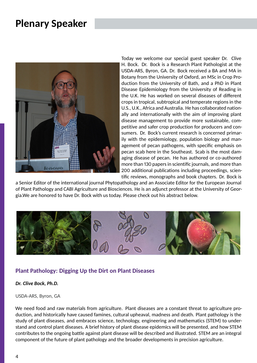## <span id="page-4-0"></span>**Plenary Speaker**



Today we welcome our special guest speaker Dr. Clive H. Bock. Dr. Bock is a Research Plant Pathologist at the USDA-ARS, Byron, GA. Dr. Bock received a BA and MA in Botany from the University of Oxford, an MSc in Crop Production from the University of Bath, and a PhD in Plant Disease Epidemiology from the University of Reading in the U.K. He has worked on several diseases of different crops in tropical, subtropical and temperate regions in the U.S., U.K., Africa and Australia. He has collaborated nationally and internationally with the aim of improving plant disease management to provide more sustainable, competitive and safer crop production for producers and consumers. Dr. Bock's current research is concerned primarily with the epidemiology, population biology and management of pecan pathogens, with specific emphasis on pecan scab here in the Southeast. Scab is the most damaging disease of pecan. He has authored or co-authored more than 130 papers in scientific journals, and more than 200 additional publications including proceedings, scientific reviews, monographs and book chapters. Dr. Bock is

a Senior Editor of the international journal Phytopathology and an Associate Editor for the European Journal of Plant Pathology and CABI Agriculture and Biosciences. He is an adjunct professor at the University of Georgia.We are honored to have Dr. Bock with us today. Please check out his abstract below.



#### **Plant Pathology: Digging Up the Dirt on Plant Diseases**

#### *Dr. Clive Bock, Ph.D.*

#### USDA-ARS, Byron, GA

We need food and raw materials from agriculture. Plant diseases are a constant threat to agriculture production, and historically have caused famines, cultural upheaval, madness and death. Plant pathology is the study of plant diseases, and embraces science, technology, engineering and mathematics (STEM) to understand and control plant diseases. A brief history of plant disease epidemics will be presented, and how STEM contributes to the ongoing battle against plant disease will be described and illustrated. STEM are an integral component of the future of plant pathology and the broader developments in precision agriculture.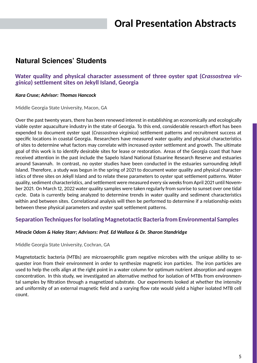## **Oral Presentation Abstracts**

## <span id="page-5-1"></span><span id="page-5-0"></span>**Natural Sciences' Students**

#### **Water quality and physical character assessment of three oyster spat (***Crassostrea virginica***) settlement sites on Jekyll Island, Georgia**

#### *Kara Cruse; Advisor: Thomas Hancock*

Middle Georgia State University, Macon, GA

Over the past twenty years, there has been renewed interest in establishing an economically and ecologically viable oyster aquaculture industry in the state of Georgia. To this end, considerable research effort has been expended to document oyster spat (*Crassostrea virginica*) settlement patterns and recruitment success at specific locations in coastal Georgia. Researchers have measured water quality and physical characteristics of sites to determine what factors may correlate with increased oyster settlement and growth. The ultimate goal of this work is to identify desirable sites for lease or restoration. Areas of the Georgia coast that have received attention in the past include the Sapelo Island National Estuarine Research Reserve and estuaries around Savannah. In contrast, no oyster studies have been conducted in the estuaries surrounding Jekyll Island. Therefore, a study was begun in the spring of 2021 to document water quality and physical characteristics of three sites on Jekyll Island and to relate these parameters to oyster spat settlement patterns. Water quality, sediment characteristics, and settlement were measured every six weeks from April 2021 until November 2021. On March 12, 2022 water quality samples were taken regularly from sunrise to sunset over one tidal cycle. Data is currently being analyzed to determine trends in water quality and sediment characteristics within and between sites. Correlational analysis will then be performed to determine if a relationship exists between these physical parameters and oyster spat settlement patterns.

#### **Separation Techniques for Isolating Magnetotactic Bacteria from Environmental Samples**

#### *Miracle Odom & Haley Starr; Advisors: Prof. Ed Wallace & Dr. Sharon Standridge*

Middle Georgia State University, Cochran, GA

Magnetotactic bacteria (MTBs) are microaerophilic gram negative microbes with the unique ability to sequester iron from their environment in order to synthesize magnetic iron particles. The iron particles are used to help the cells align at the right point in a water column for optimum nutrient absorption and oxygen concentration. In this study, we investigated an alternative method for isolation of MTBs from environmental samples by filtration through a magnetized substrate. Our experiments looked at whether the intensity and uniformity of an external magnetic field and a varying flow rate would yield a higher isolated MTB cell count.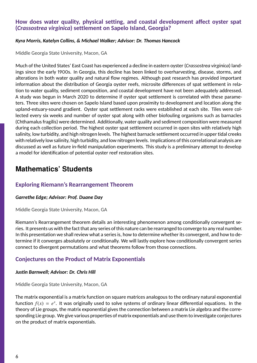#### **How does water quality, physical setting, and coastal development affect oyster spat (***Crassostrea virginica***) settlement on Sapelo Island, Georgia?**

#### *Kyra Morris, Katelyn Collins, & Michael Walker; Advisor: Dr. Thomas Hancock*

Middle Georgia State University, Macon, GA

Much of the United States' East Coast has experienced a decline in eastern oyster (*Crassostrea virginica*) landings since the early 1900s. In Georgia, this decline has been linked to overharvesting, disease, storms, and alterations in both water quality and natural flow regimes. Although past research has provided important information about the distribution of Georgia oyster reefs, microsite differences of spat settlement in relation to water quality, sediment composition, and coastal development have not been adequately addressed. A study was begun in March 2020 to determine if oyster spat settlement is correlated with these parameters. Three sites were chosen on Sapelo Island based upon proximity to development and location along the upland-estuary-sound gradient. Oyster spat settlement racks were established at each site. Tiles were collected every six weeks and number of oyster spat along with other biofouling organisms such as barnacles (Chthamalus fragilis) were determined. Additionally, water quality and sediment composition were measured during each collection period. The highest oyster spat settlement occurred in open sites with relatively high salinity, low turbidity, and high nitrogen levels. The highest barnacle settlement occurred in upper tidal creeks with relatively low salinity, high turbidity, and low nitrogen levels. Implications of this correlational analysis are discussed as well as future in-field manipulation experiments. This study is a preliminary attempt to develop a model for identification of potential oyster reef restoration sites.

## <span id="page-6-0"></span>**Mathematics' Students**

#### **Exploring Riemann's Rearrangement Theorem**

#### *Garrethe Edge; Advisor: Prof. Duane Day*

Middle Georgia State University, Macon, GA

Riemann's Rearrangement theorem details an interesting phenomenon among conditionally convergent series. It presents us with the fact that any series of this nature can be rearranged to converge to any real number. In this presentation we shall review what a series is, how to determine whether its convergent, and how to determine if it converges absolutely or conditionally. We will lastly explore how conditionally convergent series connect to divergent permutations and what theorems follow from those connections.

#### **Conjectures on the Product of Matrix Exponentials**

#### *Justin Barnwell; Advisor: Dr. Chris Hill*

Middle Georgia State University, Macon, GA

The matrix exponential is a matrix function on square matrices analogous to the ordinary natural exponential function  $f(x) = e^x$ . It was originally used to solve systems of ordinary linear differential equations. In the theory of Lie groups, the matrix exponential gives the connection between a matrix Lie algebra and the corresponding Lie group. We give various properties of matrix exponentials and use them to investigate conjectures on the product of matrix exponentials.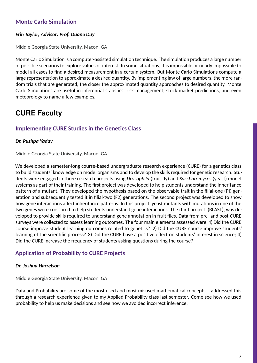## **Monte Carlo Simulation**

#### *Erin Taylor; Advisor: Prof. Duane Day*

Middle Georgia State University, Macon, GA

Monte Carlo Simulation is a computer-assisted simulation technique. The simulation produces a large number of possible scenarios to explore values of interest. In some situations, it is impossible or nearly impossible to model all cases to find a desired measurement in a certain system. But Monte Carlo Simulations compute a large representation to approximate a desired quantity. By implementing law of large numbers, the more random trials that are generated, the closer the approximated quantity approaches to desired quantity. Monte Carlo Simulations are useful in inferential statistics, risk management, stock market predictions, and even meteorology to name a few examples.

## <span id="page-7-0"></span>**CURE Faculty**

## **Implementing CURE Studies in the Genetics Class**

#### *Dr. Pushpa Yadav*

Middle Georgia State University, Macon, GA

We developed a semester-long course-based undergraduate research experience (CURE) for a genetics class to build students' knowledge on model organisms and to develop the skills required for genetic research. Students were engaged in three research projects using *Drosophila* (fruit fly) and *Saccharomyces* (yeast) model systems as part of their training. The first project was developed to help students understand the inheritance pattern of a mutant. They developed the hypothesis based on the observable trait in the filial-one (F1) generation and subsequently tested it in filial-two (F2) generations. The second project was developed to show how gene interactions affect inheritance patterns. In this project, yeast mutants with mutations in one of the two genes were crossbred to help students understand gene interactions. The third project, (BLAST), was developed to provide skills required to understand gene annotation in fruit flies. Data from pre- and post-CURE surveys were collected to assess learning outcomes. The four main elements assessed were: 1) Did the CURE course improve student learning outcomes related to genetics? 2) Did the CURE course improve students' learning of the scientific process? 3) Did the CURE have a positive effect on students' interest in science; 4) Did the CURE increase the frequency of students asking questions during the course?

### **Application of Probability to CURE Projects**

#### *Dr. Joshua Harrelson*

Middle Georgia State University, Macon, GA

Data and Probability are some of the most used and most misused mathematical concepts. I addressed this through a research experience given to my Applied Probability class last semester. Come see how we used probability to help us make decisions and see how we avoided incorrect inference.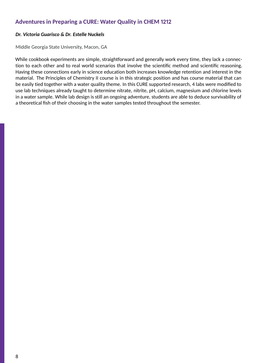### **Adventures in Preparing a CURE: Water Quality in CHEM 1212**

#### *Dr. Victoria Guarisco & Dr. Estelle Nuckels*

Middle Georgia State University, Macon, GA

While cookbook experiments are simple, straightforward and generally work every time, they lack a connection to each other and to real world scenarios that involve the scientific method and scientific reasoning. Having these connections early in science education both increases knowledge retention and interest in the material. The Principles of Chemistry II course is in this strategic position and has course material that can be easily tied together with a water quality theme. In this CURE supported research, 4 labs were modified to use lab techniques already taught to determine nitrate, nitrite, pH, calcium, magnesium and chlorine levels in a water sample. While lab design is still an ongoing adventure, students are able to deduce survivability of a theoretical fish of their choosing in the water samples tested throughout the semester.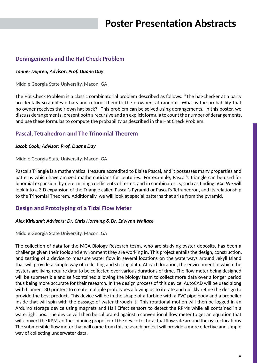#### <span id="page-9-0"></span>**Derangements and the Hat Check Problem**

#### *Tanner Dupree; Advisor: Prof. Duane Day*

Middle Georgia State University, Macon, GA

The Hat Check Problem is a classic combinatorial problem described as follows: "The hat-checker at a party accidentally scrambles n hats and returns them to the n owners at random. What is the probability that no owner receives their own hat back?" This problem can be solved using derangements. In this poster, we discuss derangements, present both a recursive and an explicit formula to count the number of derangements, and use these formulas to compute the probability as described in the Hat Check Problem.

#### **Pascal, Tetrahedron and The Trinomial Theorem**

#### *Jacob Cook; Advisor: Prof. Duane Day*

Middle Georgia State University, Macon, GA

Pascal's Triangle is a mathematical treasure accredited to Blaise Pascal, and it possesses many properties and patterns which have amazed mathematicians for centuries. For example, Pascal's Triangle can be used for binomial expansion, by determining coefficients of terms, and in combinatorics, such as finding nCx. We will look into a 3-D expansion of the Triangle called Pascal's Pyramid or Pascal's Tetrahedron, and its relationship to the Trinomial Theorem. Additionally, we will look at special patterns that arise from the pyramid.

#### **Design and Prototyping of a Tidal Flow Meter**

#### *Alex Kirkland; Advisors: Dr. Chris Hornung & Dr. Edwynn Wallace*

Middle Georgia State University, Macon, GA

The collection of data for the MGA Biology Research team, who are studying oyster deposits, has been a challenge given their tools and environment they are working in. This project entails the design, construction, and testing of a device to measure water flow in several locations on the waterways around Jekyll Island that will provide a simple way of collecting and storing data. At each location, the environment in which the oysters are living require data to be collected over various durations of time. The flow meter being designed will be submersible and self-contained allowing the biology team to collect more data over a longer period thus being more accurate for their research. In the design process of this device, AutoCAD will be used along with filament 3D printers to create multiple prototypes allowing us to iterate and quickly refine the design to provide the best product. This device will be in the shape of a turbine with a PVC pipe body and a propeller inside that will spin with the passage of water through it. This rotational motion will then be logged in an Arduino storage device using magnets and Hall Effect sensors to detect the RPMs while all contained in a watertight box. The device will then be calibrated against a conventional flow meter to get an equation that will convert the RPMs of the spinning propeller of the device to the actual flow rate around the oyster locations. The submersible flow meter that will come from this research project will provide a more effective and simple way of collecting underwater data.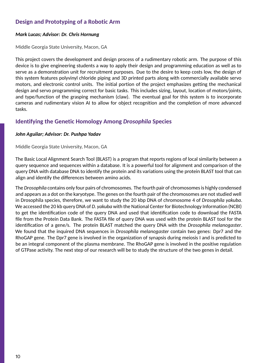### **Design and Prototyping of a Robotic Arm**

#### *Mark Lucas; Advisor: Dr. Chris Hornung*

Middle Georgia State University, Macon, GA

This project covers the development and design process of a rudimentary robotic arm. The purpose of this device is to give engineering students a way to apply their design and programming education as well as to serve as a demonstration unit for recruitment purposes. Due to the desire to keep costs low, the design of this system features polyvinyl chloride piping and 3D printed parts along with commercially available servo motors, and electronic control units. The initial portion of the project emphasizes getting the mechanical design and servo programming correct for basic tasks. This includes sizing, layout, location of motors/joints, and type/function of the grasping mechanism (claw). The eventual goal for this system is to incorporate cameras and rudimentary vision AI to allow for object recognition and the completion of more advanced tasks.

#### **Identifying the Genetic Homology Among** *Drosophila* **Species**

#### *John Aguilar; Advisor: Dr. Pushpa Yadav*

Middle Georgia State University, Macon, GA

The Basic Local Alignment Search Tool (BLAST) is a program that reports regions of local similarity between a query sequence and sequences within a database. It is a powerful tool for alignment and comparison of the query DNA with database DNA to identify the protein and its variations using the protein BLAST tool that can align and identify the differences between amino acids.

The *Drosophila* contains only four pairs of chromosomes. The fourth pair of chromosomes is highly condensed and appears as a dot on the karyotype. The genes on the fourth pair of the chromosomes are not studied well in Drosophila species, therefore, we want to study the 20 kbp DNA of chromosome 4 of *Drosophila yakuba*. We accessed the 20 kb query DNA of *D. yakuba* with the National Center for Biotechnology Information (NCBI) to get the identification code of the query DNA and used that identification code to download the FASTA file from the Protein Data Bank. The FASTA file of query DNA was used with the protein BLAST tool for the identification of a gene/s. The protein BLAST matched the query DNA with the *Drosophila melanogaster*. We found that the inquired DNA sequences in *Drosophila melanogaster* contain two genes: Dpr7 and the RhoGAP gene. The Dpr7 gene is involved in the organization of synapsis during meiosis I and is predicted to be an integral component of the plasma membrane. The RhoGAP gene is involved in the positive regulation of GTPase activity. The next step of our research will be to study the structure of the two genes in detail.